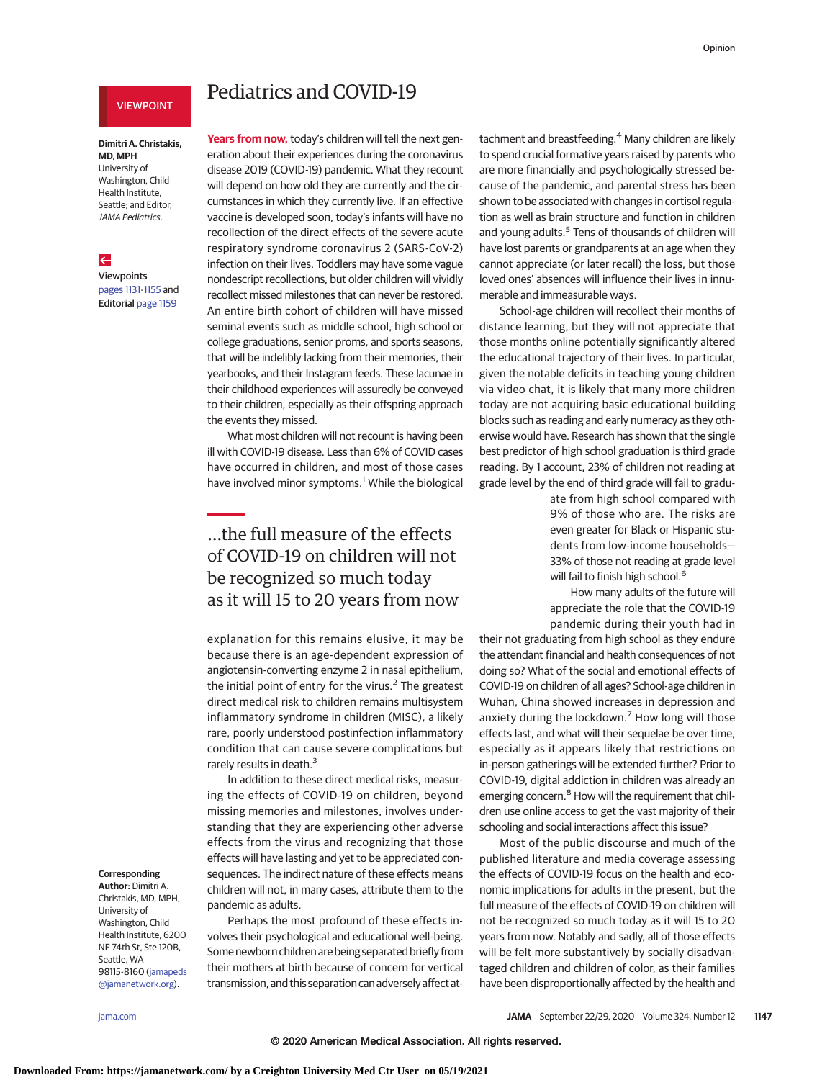### VIEWPOINT

### **Dimitri A. Christakis, MD, MPH** University of Washington, Child Health Institute,

Seattle; and Editor, JAMA Pediatrics.

### $\leftarrow$

Viewpoints

[pages 1131-](https://jamanetwork.com/journals/jama/fullarticle/10.1001/jama.2020.15088?utm_campaign=articlePDF%26utm_medium=articlePDFlink%26utm_source=articlePDF%26utm_content=jama.2020.14297)[1155](https://jamanetwork.com/journals/jama/fullarticle/10.1001/jama.2020.18432?utm_campaign=articlePDF%26utm_medium=articlePDFlink%26utm_source=articlePDF%26utm_content=jama.2020.14297) and Editorial [page 1159](https://jamanetwork.com/journals/jama/fullarticle/10.1001/jama.2020.18298?utm_campaign=articlePDF%26utm_medium=articlePDFlink%26utm_source=articlePDF%26utm_content=jama.2020.14297)

# Pediatrics and COVID-19

Years from now, today's children will tell the next generation about their experiences during the coronavirus disease 2019 (COVID-19) pandemic. What they recount will depend on how old they are currently and the circumstances in which they currently live. If an effective vaccine is developed soon, today's infants will have no recollection of the direct effects of the severe acute respiratory syndrome coronavirus 2 (SARS-CoV-2) infection on their lives. Toddlers may have some vague nondescript recollections, but older children will vividly recollect missed milestones that can never be restored. An entire birth cohort of children will have missed seminal events such as middle school, high school or college graduations, senior proms, and sports seasons, that will be indelibly lacking from their memories, their yearbooks, and their Instagram feeds. These lacunae in their childhood experiences will assuredly be conveyed to their children, especially as their offspring approach the events they missed.

What most children will not recount is having been ill with COVID-19 disease. Less than 6% of COVID cases have occurred in children, and most of those cases have involved minor symptoms.<sup>1</sup> While the biological

# …the full measure of the effects of COVID-19 on children will not be recognized so much today as it will 15 to 20 years from now

explanation for this remains elusive, it may be because there is an age-dependent expression of angiotensin-converting enzyme 2 in nasal epithelium, the initial point of entry for the virus. $<sup>2</sup>$  The greatest</sup> direct medical risk to children remains multisystem inflammatory syndrome in children (MISC), a likely rare, poorly understood postinfection inflammatory condition that can cause severe complications but rarely results in death.<sup>3</sup>

In addition to these direct medical risks, measuring the effects of COVID-19 on children, beyond missing memories and milestones, involves understanding that they are experiencing other adverse effects from the virus and recognizing that those effects will have lasting and yet to be appreciated consequences. The indirect nature of these effects means children will not, in many cases, attribute them to the pandemic as adults.

Perhaps the most profound of these effects involves their psychological and educational well-being. Some newborn children are being separated briefly from their mothers at birth because of concern for vertical transmission, and this separation can adversely affect attachment and breastfeeding.<sup>4</sup> Many children are likely to spend crucial formative years raised by parents who are more financially and psychologically stressed because of the pandemic, and parental stress has been shown to be associated with changes in cortisol regulation as well as brain structure and function in children and young adults.<sup>5</sup> Tens of thousands of children will have lost parents or grandparents at an age when they cannot appreciate (or later recall) the loss, but those loved ones' absences will influence their lives in innumerable and immeasurable ways.

School-age children will recollect their months of distance learning, but they will not appreciate that those months online potentially significantly altered the educational trajectory of their lives. In particular, given the notable deficits in teaching young children via video chat, it is likely that many more children today are not acquiring basic educational building blocks such as reading and early numeracy as they otherwise would have. Research has shown that the single best predictor of high school graduation is third grade reading. By 1 account, 23% of children not reading at grade level by the end of third grade will fail to gradu-

> ate from high school compared with 9% of those who are. The risks are even greater for Black or Hispanic students from low-income households— 33% of those not reading at grade level will fail to finish high school.<sup>6</sup>

> How many adults of the future will appreciate the role that the COVID-19 pandemic during their youth had in

their not graduating from high school as they endure the attendant financial and health consequences of not doing so? What of the social and emotional effects of COVID-19 on children of all ages? School-age children in Wuhan, China showed increases in depression and anxiety during the lockdown.<sup>7</sup> How long will those effects last, and what will their sequelae be over time, especially as it appears likely that restrictions on in-person gatherings will be extended further? Prior to COVID-19, digital addiction in children was already an emerging concern.<sup>8</sup> How will the requirement that children use online access to get the vast majority of their schooling and social interactions affect this issue?

Most of the public discourse and much of the published literature and media coverage assessing the effects of COVID-19 focus on the health and economic implications for adults in the present, but the full measure of the effects of COVID-19 on children will not be recognized so much today as it will 15 to 20 years from now. Notably and sadly, all of those effects will be felt more substantively by socially disadvantaged children and children of color, as their families have been disproportionally affected by the health and

#### **Corresponding Author:** Dimitri A.

Christakis, MD, MPH, University of Washington, Child Health Institute, 6200 NE 74th St, Ste 120B, Seattle, WA 98115-8160 [\(jamapeds](mailto:jamapeds@jamanetwork.org) [@jamanetwork.org\)](mailto:jamapeds@jamanetwork.org).